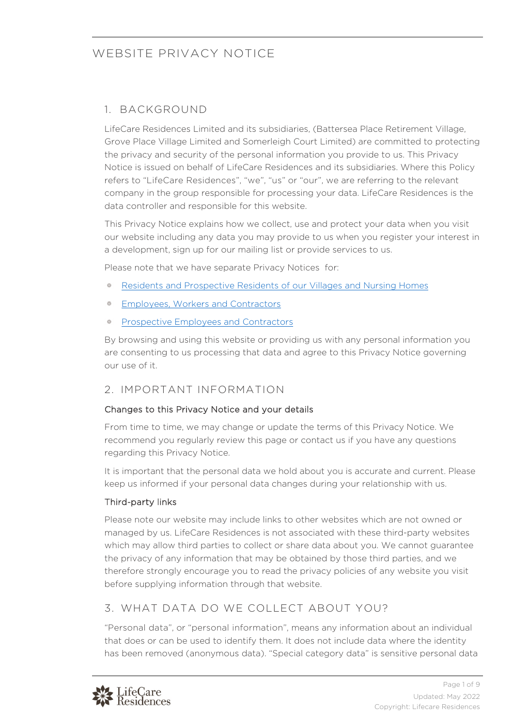### 1. BACKGROUND

LifeCare Residences Limited and its subsidiaries, (Battersea Place Retirement Village, Grove Place Village Limited and Somerleigh Court Limited) are committed to protecting the privacy and security of the personal information you provide to us. This Privacy Notice is issued on behalf of LifeCare Residences and its subsidiaries. Where this Policy refers to "LifeCare Residences", "we", "us" or "our", we are referring to the relevant company in the group responsible for processing your data. LifeCare Residences is the data controller and responsible for this website.

This Privacy Notice explains how we collect, use and protect your data when you visit our website including any data you may provide to us when you register your interest in a development, sign up for our mailing list or provide services to us.

Please note that we have separate Privacy Notices for:

- [Residents and Prospective Residents of our Villages and Nursing Homes](https://lifecareresidences.co.uk/wp-content/uploads/2022/06/Privacy-Notice-for-Residents-and-Prospective-Residents.pdf)
- [Employees, Workers and Contractors](https://lifecareresidences.co.uk/wp-content/uploads/2022/06/Privacy-Notice-for-Employees-Workers-and-Contractors.pdf) 淼
- [Prospective Employees and Contractors](https://lifecareresidences.co.uk/wp-content/uploads/2022/06/Privacy-Notice-for-Prospective-Employees-Workers-and-Contractors.pdf)

By browsing and using this website or providing us with any personal information you are consenting to us processing that data and agree to this Privacy Notice governing our use of it.

## 2. IMPORTANT INFORMATION

### Changes to this Privacy Notice and your details

From time to time, we may change or update the terms of this Privacy Notice. We recommend you regularly review this page or contact us if you have any questions regarding this Privacy Notice.

It is important that the personal data we hold about you is accurate and current. Please keep us informed if your personal data changes during your relationship with us.

### Third-party links

Please note our website may include links to other websites which are not owned or managed by us. LifeCare Residences is not associated with these third-party websites which may allow third parties to collect or share data about you. We cannot guarantee the privacy of any information that may be obtained by those third parties, and we therefore strongly encourage you to read the privacy policies of any website you visit before supplying information through that website.

## 3. WHAT DATA DO WE COLLECT ABOUT YOU?

"Personal data", or "personal information", means any information about an individual that does or can be used to identify them. It does not include data where the identity has been removed (anonymous data). "Special category data" is sensitive personal data

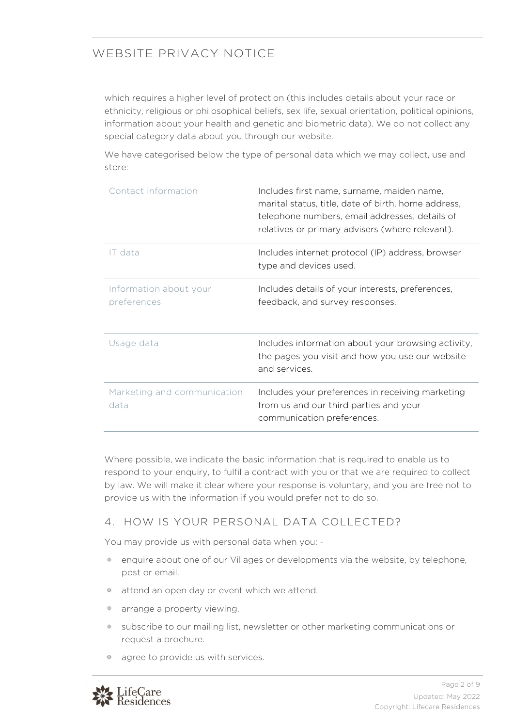which requires a higher level of protection (this includes details about your race or ethnicity, religious or philosophical beliefs, sex life, sexual orientation, political opinions, information about your health and genetic and biometric data). We do not collect any special category data about you through our website.

We have categorised below the type of personal data which we may collect, use and store:

| Contact information                   | Includes first name, surname, maiden name,<br>marital status, title, date of birth, home address,<br>telephone numbers, email addresses, details of<br>relatives or primary advisers (where relevant). |
|---------------------------------------|--------------------------------------------------------------------------------------------------------------------------------------------------------------------------------------------------------|
| IT data                               | Includes internet protocol (IP) address, browser<br>type and devices used.                                                                                                                             |
| Information about your<br>preferences | Includes details of your interests, preferences,<br>feedback, and survey responses.                                                                                                                    |
| Usage data                            | Includes information about your browsing activity,<br>the pages you visit and how you use our website<br>and services.                                                                                 |
| Marketing and communication<br>data   | Includes your preferences in receiving marketing<br>from us and our third parties and your<br>communication preferences.                                                                               |

Where possible, we indicate the basic information that is required to enable us to respond to your enquiry, to fulfil a contract with you or that we are required to collect by law. We will make it clear where your response is voluntary, and you are free not to provide us with the information if you would prefer not to do so.

### 4. HOW IS YOUR PERSONAL DATA COLLECTED?

You may provide us with personal data when you: -

- enquire about one of our Villages or developments via the website, by telephone, post or email.
- <sup>\*</sup> attend an open day or event which we attend.
- arrange a property viewing.
- subscribe to our mailing list, newsletter or other marketing communications or request a brochure.
- <sup>\*</sup> agree to provide us with services.

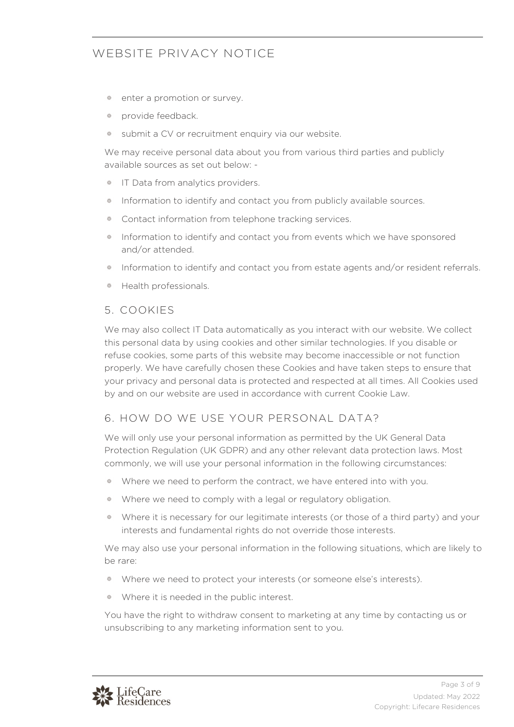- enter a promotion or survey.
- provide feedback.
- submit a CV or recruitment enquiry via our website.

We may receive personal data about you from various third parties and publicly available sources as set out below: -

- <sup>\*</sup> IT Data from analytics providers.
- Information to identify and contact you from publicly available sources. 辯
- Contact information from telephone tracking services.
- Information to identify and contact you from events which we have sponsored and/or attended.
- Information to identify and contact you from estate agents and/or resident referrals.
- **\*** Health professionals.

#### 5. COOKIES

We may also collect IT Data automatically as you interact with our website. We collect this personal data by using cookies and other similar technologies. If you disable or refuse cookies, some parts of this website may become inaccessible or not function properly. We have carefully chosen these Cookies and have taken steps to ensure that your privacy and personal data is protected and respected at all times. All Cookies used by and on our website are used in accordance with current Cookie Law.

#### 6. HOW DO WE USE YOUR PERSONAL DATA?

We will only use your personal information as permitted by the UK General Data Protection Regulation (UK GDPR) and any other relevant data protection laws. Most commonly, we will use your personal information in the following circumstances:

- Where we need to perform the contract, we have entered into with you.
- \* Where we need to comply with a legal or regulatory obligation.
- Where it is necessary for our legitimate interests (or those of a third party) and your interests and fundamental rights do not override those interests.

We may also use your personal information in the following situations, which are likely to be rare:

- Where we need to protect your interests (or someone else's interests).
- Where it is needed in the public interest.

You have the right to withdraw consent to marketing at any time by contacting us or unsubscribing to any marketing information sent to you.

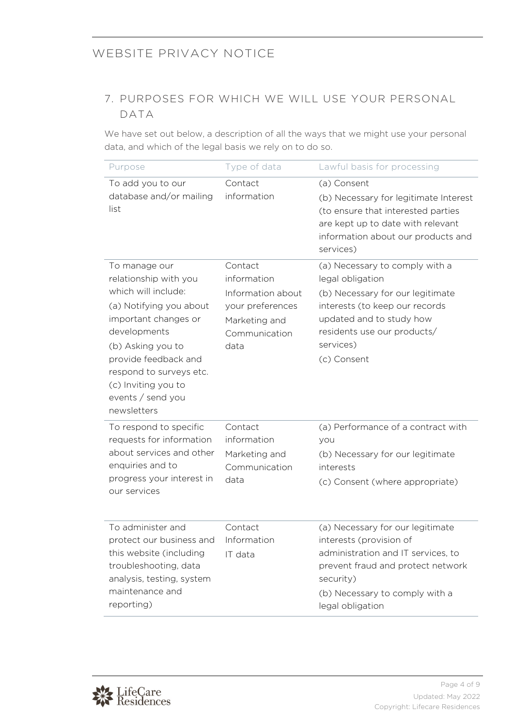## 7. PURPOSES FOR WHICH WE WILL USE YOUR PERSONAL DATA

We have set out below, a description of all the ways that we might use your personal data, and which of the legal basis we rely on to do so.

| Purpose                                                                                                                                                                                                                                                             | Type of data                                                                                              | Lawful basis for processing                                                                                                                                                                                     |
|---------------------------------------------------------------------------------------------------------------------------------------------------------------------------------------------------------------------------------------------------------------------|-----------------------------------------------------------------------------------------------------------|-----------------------------------------------------------------------------------------------------------------------------------------------------------------------------------------------------------------|
| To add you to our<br>database and/or mailing<br>list                                                                                                                                                                                                                | Contact<br>information                                                                                    | (a) Consent<br>(b) Necessary for legitimate Interest<br>(to ensure that interested parties<br>are kept up to date with relevant<br>information about our products and<br>services)                              |
| To manage our<br>relationship with you<br>which will include:<br>(a) Notifying you about<br>important changes or<br>developments<br>(b) Asking you to<br>provide feedback and<br>respond to surveys etc.<br>(c) Inviting you to<br>events / send you<br>newsletters | Contact<br>information<br>Information about<br>your preferences<br>Marketing and<br>Communication<br>data | (a) Necessary to comply with a<br>legal obligation<br>(b) Necessary for our legitimate<br>interests (to keep our records<br>updated and to study how<br>residents use our products/<br>services)<br>(c) Consent |
| To respond to specific<br>requests for information<br>about services and other<br>enquiries and to<br>progress your interest in<br>our services                                                                                                                     | Contact<br>information<br>Marketing and<br>Communication<br>data                                          | (a) Performance of a contract with<br>you<br>(b) Necessary for our legitimate<br>interests<br>(c) Consent (where appropriate)                                                                                   |
| To administer and<br>protect our business and<br>this website (including<br>troubleshooting, data<br>analysis, testing, system<br>maintenance and<br>reporting)                                                                                                     | Contact<br>Information<br>IT data                                                                         | (a) Necessary for our legitimate<br>interests (provision of<br>administration and IT services, to<br>prevent fraud and protect network<br>security)<br>(b) Necessary to comply with a<br>legal obligation       |

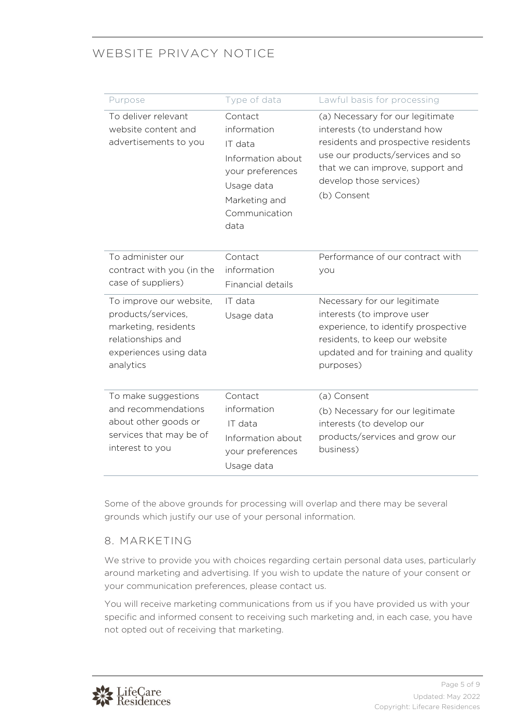| Purpose                                                                                                                           | Type of data                                                                                                                       | Lawful basis for processing                                                                                                                                                                                               |
|-----------------------------------------------------------------------------------------------------------------------------------|------------------------------------------------------------------------------------------------------------------------------------|---------------------------------------------------------------------------------------------------------------------------------------------------------------------------------------------------------------------------|
| To deliver relevant<br>website content and<br>advertisements to you                                                               | Contact<br>information<br>IT data<br>Information about<br>your preferences<br>Usage data<br>Marketing and<br>Communication<br>data | (a) Necessary for our legitimate<br>interests (to understand how<br>residents and prospective residents<br>use our products/services and so<br>that we can improve, support and<br>develop those services)<br>(b) Consent |
| To administer our<br>contract with you (in the<br>case of suppliers)                                                              | Contact<br>information<br>Financial details                                                                                        | Performance of our contract with<br>you                                                                                                                                                                                   |
| To improve our website,<br>products/services,<br>marketing, residents<br>relationships and<br>experiences using data<br>analytics | IT data<br>Usage data                                                                                                              | Necessary for our legitimate<br>interests (to improve user<br>experience, to identify prospective<br>residents, to keep our website<br>updated and for training and quality<br>purposes)                                  |
| To make suggestions<br>and recommendations<br>about other goods or<br>services that may be of<br>interest to you                  | Contact<br>information<br>IT data<br>Information about<br>your preferences<br>Usage data                                           | (a) Consent<br>(b) Necessary for our legitimate<br>interests (to develop our<br>products/services and grow our<br>business)                                                                                               |

Some of the above grounds for processing will overlap and there may be several grounds which justify our use of your personal information.

### 8. MARKETING

We strive to provide you with choices regarding certain personal data uses, particularly around marketing and advertising. If you wish to update the nature of your consent or your communication preferences, please contact us.

You will receive marketing communications from us if you have provided us with your specific and informed consent to receiving such marketing and, in each case, you have not opted out of receiving that marketing.

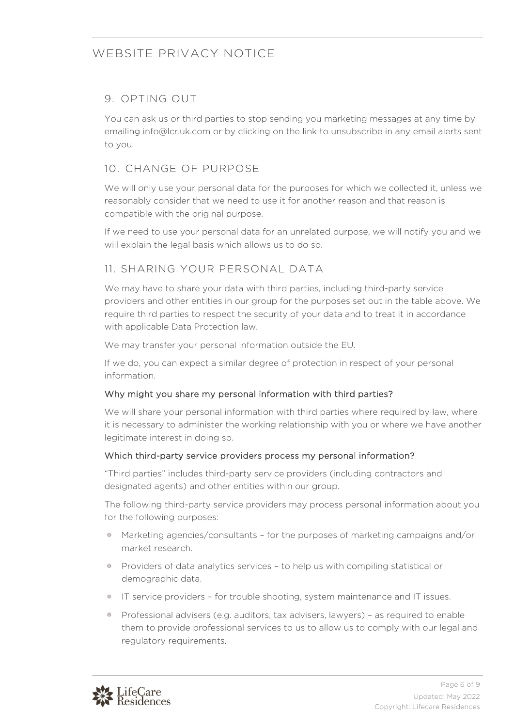### 9. OPTING OUT

You can ask us or third parties to stop sending you marketing messages at any time by emailing info@lcr.uk.com or by clicking on the link to unsubscribe in any email alerts sent to you.

## 10. CHANGE OF PURPOSE

We will only use your personal data for the purposes for which we collected it, unless we reasonably consider that we need to use it for another reason and that reason is compatible with the original purpose.

If we need to use your personal data for an unrelated purpose, we will notify you and we will explain the legal basis which allows us to do so.

### 11. SHARING YOUR PERSONAL DATA

We may have to share your data with third parties, including third-party service providers and other entities in our group for the purposes set out in the table above. We require third parties to respect the security of your data and to treat it in accordance with applicable Data Protection law.

We may transfer your personal information outside the EU.

If we do, you can expect a similar degree of protection in respect of your personal information.

### Why might you share my personal information with third parties?

We will share your personal information with third parties where required by law, where it is necessary to administer the working relationship with you or where we have another legitimate interest in doing so.

### Which third-party service providers process my personal information?

"Third parties" includes third-party service providers (including contractors and designated agents) and other entities within our group.

The following third-party service providers may process personal information about you for the following purposes:

- Marketing agencies/consultants for the purposes of marketing campaigns and/or market research.
- Providers of data analytics services to help us with compiling statistical or demographic data.
- IT service providers for trouble shooting, system maintenance and IT issues.
- Professional advisers (e.g. auditors, tax advisers, lawyers) as required to enable them to provide professional services to us to allow us to comply with our legal and regulatory requirements.

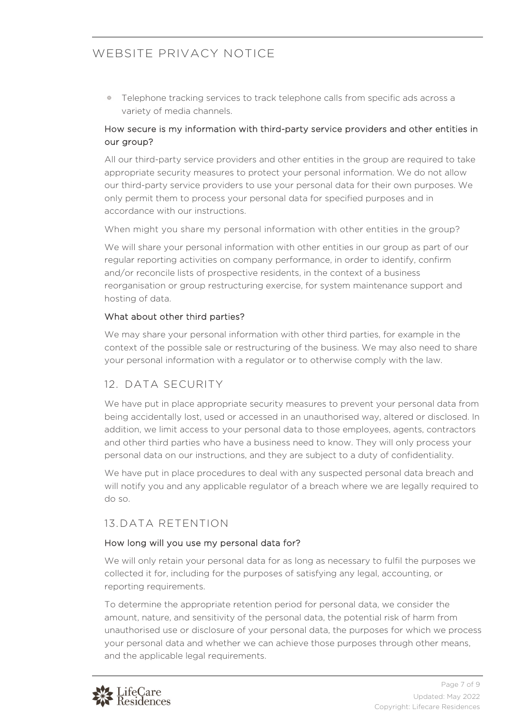Telephone tracking services to track telephone calls from specific ads across a 器 variety of media channels.

#### How secure is my information with third-party service providers and other entities in our group?

All our third-party service providers and other entities in the group are required to take appropriate security measures to protect your personal information. We do not allow our third-party service providers to use your personal data for their own purposes. We only permit them to process your personal data for specified purposes and in accordance with our instructions.

When might you share my personal information with other entities in the group?

We will share your personal information with other entities in our group as part of our regular reporting activities on company performance, in order to identify, confirm and/or reconcile lists of prospective residents, in the context of a business reorganisation or group restructuring exercise, for system maintenance support and hosting of data.

#### What about other third parties?

We may share your personal information with other third parties, for example in the context of the possible sale or restructuring of the business. We may also need to share your personal information with a regulator or to otherwise comply with the law.

## 12. DATA SECURITY

We have put in place appropriate security measures to prevent your personal data from being accidentally lost, used or accessed in an unauthorised way, altered or disclosed. In addition, we limit access to your personal data to those employees, agents, contractors and other third parties who have a business need to know. They will only process your personal data on our instructions, and they are subject to a duty of confidentiality.

We have put in place procedures to deal with any suspected personal data breach and will notify you and any applicable regulator of a breach where we are legally required to do so.

### 13.DATA RETENTION

#### How long will you use my personal data for?

We will only retain your personal data for as long as necessary to fulfil the purposes we collected it for, including for the purposes of satisfying any legal, accounting, or reporting requirements.

To determine the appropriate retention period for personal data, we consider the amount, nature, and sensitivity of the personal data, the potential risk of harm from unauthorised use or disclosure of your personal data, the purposes for which we process your personal data and whether we can achieve those purposes through other means, and the applicable legal requirements.

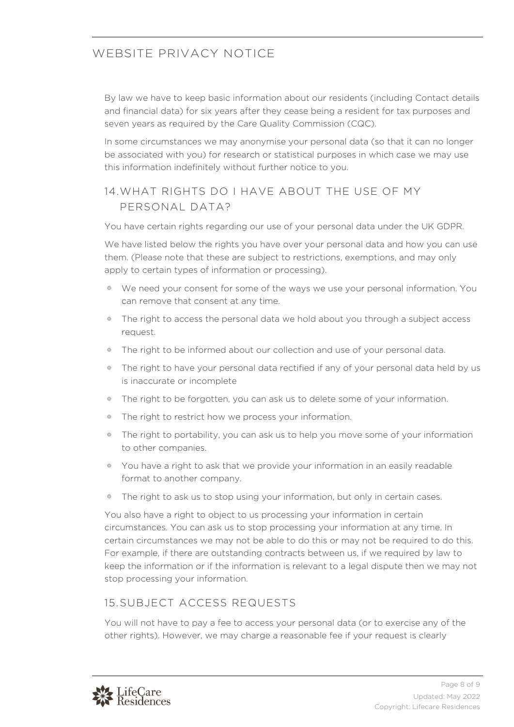By law we have to keep basic information about our residents (including Contact details and financial data) for six years after they cease being a resident for tax purposes and seven years as required by the Care Quality Commission (CQC).

In some circumstances we may anonymise your personal data (so that it can no longer be associated with you) for research or statistical purposes in which case we may use this information indefinitely without further notice to you.

### 14.WHAT RIGHTS DO I HAVE ABOUT THE USE OF MY PERSONAL DATA?

You have certain rights regarding our use of your personal data under the UK GDPR.

We have listed below the rights you have over your personal data and how you can use them. (Please note that these are subject to restrictions, exemptions, and may only apply to certain types of information or processing).

- We need your consent for some of the ways we use your personal information. You can remove that consent at any time.
- The right to access the personal data we hold about you through a subject access request.
- The right to be informed about our collection and use of your personal data.  $\frac{1}{2} \frac{d\mathbf{x}}{d\mathbf{x}}$
- The right to have your personal data rectified if any of your personal data held by us is inaccurate or incomplete
- 器 The right to be forgotten, you can ask us to delete some of your information.
- The right to restrict how we process your information. 盎
- The right to portability, you can ask us to help you move some of your information to other companies.
- You have a right to ask that we provide your information in an easily readable format to another company.
- The right to ask us to stop using your information, but only in certain cases.

You also have a right to object to us processing your information in certain circumstances. You can ask us to stop processing your information at any time. In certain circumstances we may not be able to do this or may not be required to do this. For example, if there are outstanding contracts between us, if we required by law to keep the information or if the information is relevant to a legal dispute then we may not stop processing your information.

### 15.SUBJECT ACCESS REQUESTS

You will not have to pay a fee to access your personal data (or to exercise any of the other rights). However, we may charge a reasonable fee if your request is clearly